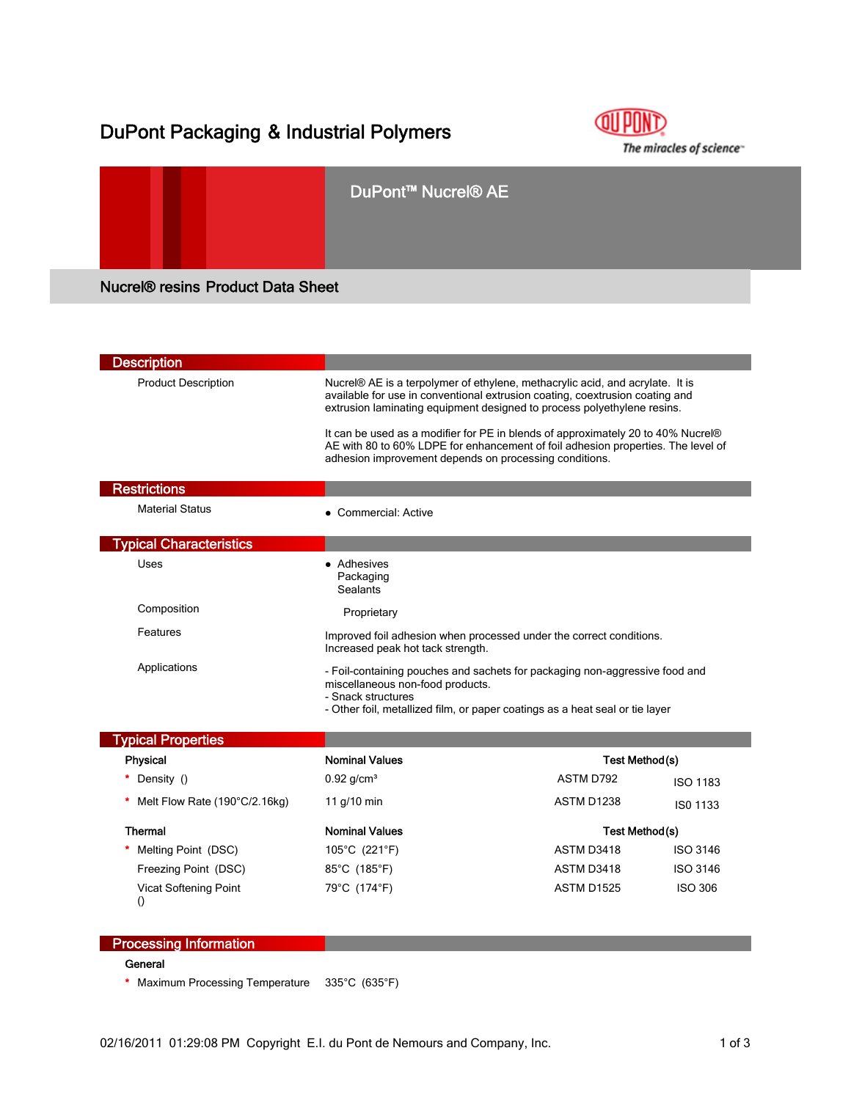# DuPont Packaging & Industrial Polymers





It can be used as a modifier for PE in blends of approximately 20 to 40% Nucrel® AE with 80 to 60% LDPE for enhancement of foil adhesion properties. The level of adhesion improvement depends on processing conditions.

| <b>Restrictions</b>            |                                                                                                                                       |
|--------------------------------|---------------------------------------------------------------------------------------------------------------------------------------|
| <b>Material Status</b>         | • Commercial: Active                                                                                                                  |
| <b>Typical Characteristics</b> |                                                                                                                                       |
| Uses                           | • Adhesives<br>Packaging<br><b>Sealants</b>                                                                                           |
| Composition                    | Proprietary                                                                                                                           |
| Features                       | Improved foil adhesion when processed under the correct conditions.<br>Increased peak hot tack strength.                              |
| Applications                   | - Foil-containing pouches and sachets for packaging non-aggressive food and<br>miscellaneous non-food products.<br>- Snack structures |

|                               |                          | - Other foil, metallized film, or paper coatings as a heat seal or tie layer |                 |
|-------------------------------|--------------------------|------------------------------------------------------------------------------|-----------------|
| <b>Typical Properties</b>     |                          |                                                                              |                 |
| <b>Physical</b>               | <b>Nominal Values</b>    | Test Method(s)                                                               |                 |
| Density ()                    | $0.92$ g/cm <sup>3</sup> | ASTM D792                                                                    | <b>ISO 1183</b> |
| Melt Flow Rate (190°C/2.16kg) | 11 $q/10$ min            | ASTM D1238                                                                   | ISO 1133        |
| <b>Thermal</b>                | <b>Nominal Values</b>    | Test Method(s)                                                               |                 |
| Melting Point (DSC)           | 105°C (221°F)            | ASTM D3418                                                                   | <b>ISO 3146</b> |
| Freezing Point (DSC)          | 85°C (185°F)             | ASTM D3418                                                                   | ISO 3146        |
| <b>Vicat Softening Point</b>  | 79°C (174°F)             | <b>ASTM D1525</b>                                                            | <b>ISO 306</b>  |

# Processing Information

**General** 

\* Maximum Processing Temperature 335°C (635°F)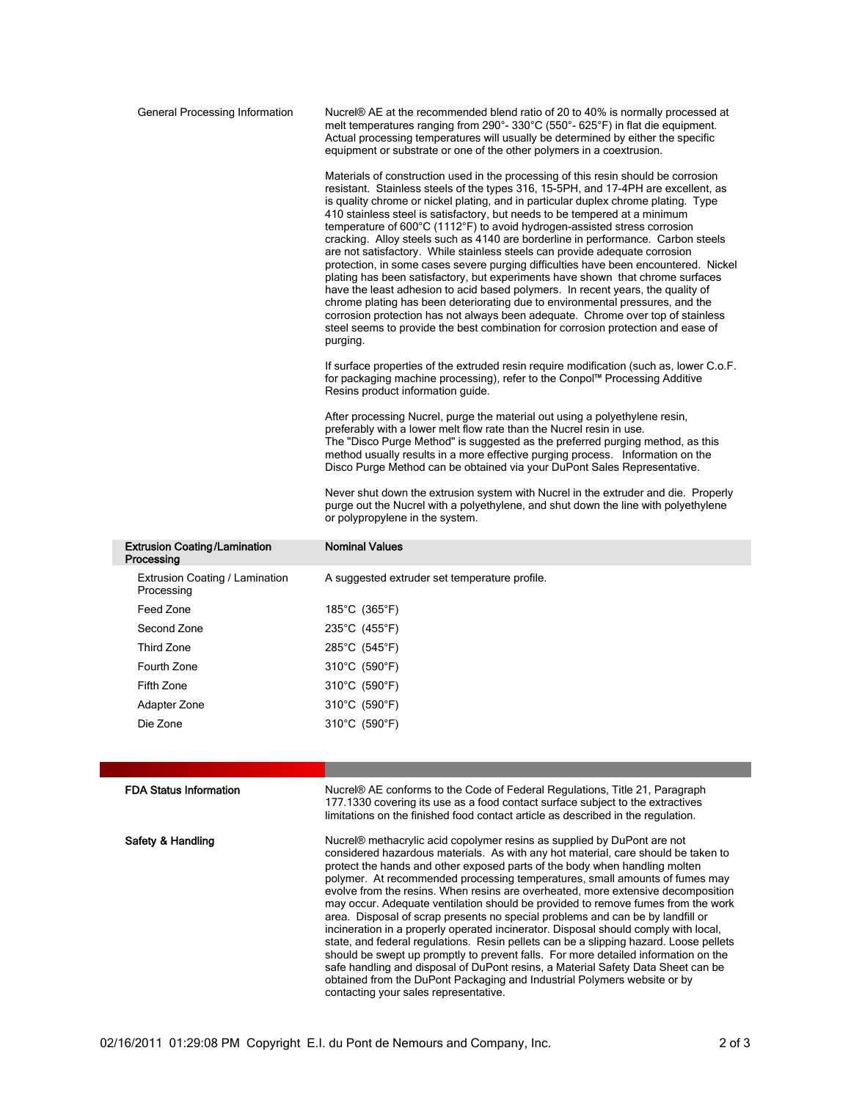| General Processing Information                    | Nucrel® AE at the recommended blend ratio of 20 to 40% is normally processed at<br>melt temperatures ranging from 290°- 330°C (550°- 625°F) in flat die equipment.<br>Actual processing temperatures will usually be determined by either the specific<br>equipment or substrate or one of the other polymers in a coextrusion.                                                                                                                                                                                                                                                                                                                                                                                                                                                                                                                                                                                                                                                                                                                                                                                              |
|---------------------------------------------------|------------------------------------------------------------------------------------------------------------------------------------------------------------------------------------------------------------------------------------------------------------------------------------------------------------------------------------------------------------------------------------------------------------------------------------------------------------------------------------------------------------------------------------------------------------------------------------------------------------------------------------------------------------------------------------------------------------------------------------------------------------------------------------------------------------------------------------------------------------------------------------------------------------------------------------------------------------------------------------------------------------------------------------------------------------------------------------------------------------------------------|
|                                                   | Materials of construction used in the processing of this resin should be corrosion<br>resistant. Stainless steels of the types 316, 15-5PH, and 17-4PH are excellent, as<br>is quality chrome or nickel plating, and in particular duplex chrome plating. Type<br>410 stainless steel is satisfactory, but needs to be tempered at a minimum<br>temperature of 600°C (1112°F) to avoid hydrogen-assisted stress corrosion<br>cracking. Alloy steels such as 4140 are borderline in performance. Carbon steels<br>are not satisfactory. While stainless steels can provide adequate corrosion<br>protection, in some cases severe purging difficulties have been encountered. Nickel<br>plating has been satisfactory, but experiments have shown that chrome surfaces<br>have the least adhesion to acid based polymers. In recent years, the quality of<br>chrome plating has been deteriorating due to environmental pressures, and the<br>corrosion protection has not always been adequate. Chrome over top of stainless<br>steel seems to provide the best combination for corrosion protection and ease of<br>purging. |
|                                                   | If surface properties of the extruded resin require modification (such as, lower C.o.F.<br>for packaging machine processing), refer to the Conpol™ Processing Additive<br>Resins product information guide.                                                                                                                                                                                                                                                                                                                                                                                                                                                                                                                                                                                                                                                                                                                                                                                                                                                                                                                  |
|                                                   | After processing Nucrel, purge the material out using a polyethylene resin,<br>preferably with a lower melt flow rate than the Nucrel resin in use.<br>The "Disco Purge Method" is suggested as the preferred purging method, as this<br>method usually results in a more effective purging process. Information on the<br>Disco Purge Method can be obtained via your DuPont Sales Representative.                                                                                                                                                                                                                                                                                                                                                                                                                                                                                                                                                                                                                                                                                                                          |
|                                                   | Never shut down the extrusion system with Nucrel in the extruder and die. Properly<br>purge out the Nucrel with a polyethylene, and shut down the line with polyethylene<br>or polypropylene in the system.                                                                                                                                                                                                                                                                                                                                                                                                                                                                                                                                                                                                                                                                                                                                                                                                                                                                                                                  |
| <b>Extrusion Coating/Lamination</b><br>Processing | <b>Nominal Values</b>                                                                                                                                                                                                                                                                                                                                                                                                                                                                                                                                                                                                                                                                                                                                                                                                                                                                                                                                                                                                                                                                                                        |
| Extrusion Coating / Lamination<br>Processing      | A suggested extruder set temperature profile.                                                                                                                                                                                                                                                                                                                                                                                                                                                                                                                                                                                                                                                                                                                                                                                                                                                                                                                                                                                                                                                                                |
| Feed Zone                                         | 185°C (365°F)                                                                                                                                                                                                                                                                                                                                                                                                                                                                                                                                                                                                                                                                                                                                                                                                                                                                                                                                                                                                                                                                                                                |
| Second Zone                                       | 235°C (455°F)                                                                                                                                                                                                                                                                                                                                                                                                                                                                                                                                                                                                                                                                                                                                                                                                                                                                                                                                                                                                                                                                                                                |
| <b>Third Zone</b>                                 | 285°C (545°F)                                                                                                                                                                                                                                                                                                                                                                                                                                                                                                                                                                                                                                                                                                                                                                                                                                                                                                                                                                                                                                                                                                                |
| Fourth Zone                                       | 310°C (590°F)                                                                                                                                                                                                                                                                                                                                                                                                                                                                                                                                                                                                                                                                                                                                                                                                                                                                                                                                                                                                                                                                                                                |
| Fifth Zone                                        | 310°C (590°F)                                                                                                                                                                                                                                                                                                                                                                                                                                                                                                                                                                                                                                                                                                                                                                                                                                                                                                                                                                                                                                                                                                                |
| Adapter Zone                                      | 310°C (590°F)                                                                                                                                                                                                                                                                                                                                                                                                                                                                                                                                                                                                                                                                                                                                                                                                                                                                                                                                                                                                                                                                                                                |
| Die Zone                                          | 310°C (590°F)                                                                                                                                                                                                                                                                                                                                                                                                                                                                                                                                                                                                                                                                                                                                                                                                                                                                                                                                                                                                                                                                                                                |
|                                                   |                                                                                                                                                                                                                                                                                                                                                                                                                                                                                                                                                                                                                                                                                                                                                                                                                                                                                                                                                                                                                                                                                                                              |
|                                                   |                                                                                                                                                                                                                                                                                                                                                                                                                                                                                                                                                                                                                                                                                                                                                                                                                                                                                                                                                                                                                                                                                                                              |
| <b>FDA Status Information</b>                     | Nucrel® AE conforms to the Code of Federal Regulations, Title 21, Paragraph<br>177.1330 covering its use as a food contact surface subject to the extractives<br>limitations on the finished food contact article as described in the regulation.                                                                                                                                                                                                                                                                                                                                                                                                                                                                                                                                                                                                                                                                                                                                                                                                                                                                            |
| Safety & Handling                                 | Nucrel® methacrylic acid copolymer resins as supplied by DuPont are not<br>considered hazardous materials. As with any hot material, care should be taken to<br>protect the hands and other exposed parts of the body when handling molten                                                                                                                                                                                                                                                                                                                                                                                                                                                                                                                                                                                                                                                                                                                                                                                                                                                                                   |

polymer. At recommended processing temperatures, small amounts of fumes may evolve from the resins. When resins are overheated, more extensive decomposition may occur. Adequate ventilation should be provided to remove fumes from the work area. Disposal of scrap presents no special problems and can be by landfill or incineration in a properly operated incinerator. Disposal should comply with local, state, and federal regulations. Resin pellets can be a slipping hazard. Loose pellets should be swept up promptly to prevent falls. For more detailed information on the safe handling and disposal of DuPont resins, a Material Safety Data Sheet can be obtained from the DuPont Packaging and Industrial Polymers website or by

contacting your sales representative.